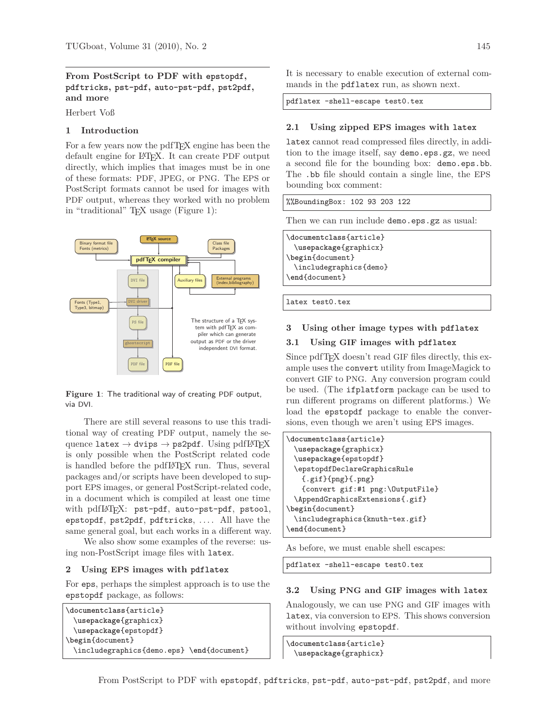# **From PostScript to PDF with epstopdf, pdftricks, pst-pdf, auto-pst-pdf, pst2pdf, and more**

Herbert Voß

## **1 Introduction**

For a few years now the pdfT<sub>E</sub>X engine has been the default engine for L<sup>A</sup>TEX. It can create PDF output directly, which implies that images must be in one of these formats: PDF, JPEG, or PNG. The EPS or PostScript formats cannot be used for images with PDF output, whereas they worked with no problem in "traditional" TEX usage (Figure 1):



**Figure 1**: The traditional way of creating PDF output, via DVI.

There are still several reasons to use this traditional way of creating PDF output, namely the sequence latex  $\rightarrow$  dvips  $\rightarrow$  ps2pdf. Using pdfLATFX is only possible when the PostScript related code is handled before the pdfL<sup>A</sup>TEX run. Thus, several packages and/or scripts have been developed to support EPS images, or general PostScript-related code, in a document which is compiled at least one time with pdfIATFX: pst-pdf, auto-pst-pdf, pstool, epstopdf, pst2pdf, pdftricks, .... All have the same general goal, but each works in a different way.

We also show some examples of the reverse: using non-PostScript image files with latex.

## **2 Using EPS images with pdflatex**

For eps, perhaps the simplest approach is to use the epstopdf package, as follows:

```
\documentclass{article}
 \usepackage{graphicx}
 \usepackage{epstopdf}
\begin{document}
 \includegraphics{demo.eps} \end{document}
```
It is necessary to enable execution of external commands in the pdflatex run, as shown next.

pdflatex -shell-escape test0.tex

## **2.1 Using zipped EPS images with latex**

latex cannot read compressed files directly, in addition to the image itself, say demo.eps.gz, we need a second file for the bounding box: demo.eps.bb. The .bb file should contain a single line, the EPS bounding box comment:

%%BoundingBox: 102 93 203 122

Then we can run include demo.eps.gz as usual:

\**documentclass**{article} \**usepackage**{graphicx} \**begin**{document} \includegraphics{demo} \**end**{document}

latex test0.tex

#### **3 Using other image types with pdflatex**

## **3.1 Using GIF images with pdflatex**

Since pdfT<sub>F</sub>X doesn't read GIF files directly, this example uses the convert utility from ImageMagick to convert GIF to PNG. Any conversion program could be used. (The ifplatform package can be used to run different programs on different platforms.) We load the epstopdf package to enable the conversions, even though we aren't using EPS images.

```
\documentclass{article}
 \usepackage{graphicx}
 \usepackage{epstopdf}
 \epstopdfDeclareGraphicsRule
   {.gif}{png}{.png}
   {convert gif:#1 png:\OutputFile}
 \AppendGraphicsExtensions{.gif}
\begin{document}
 \includegraphics{knuth-tex.gif}
\end{document}
```
As before, we must enable shell escapes:

pdflatex -shell-escape test0.tex

#### **3.2 Using PNG and GIF images with latex**

Analogously, we can use PNG and GIF images with latex, via conversion to EPS. This shows conversion without involving epstopdf.

\**documentclass**{article} \**usepackage**{graphicx}

From PostScript to PDF with epstopdf, pdftricks, pst-pdf, auto-pst-pdf, pst2pdf, and more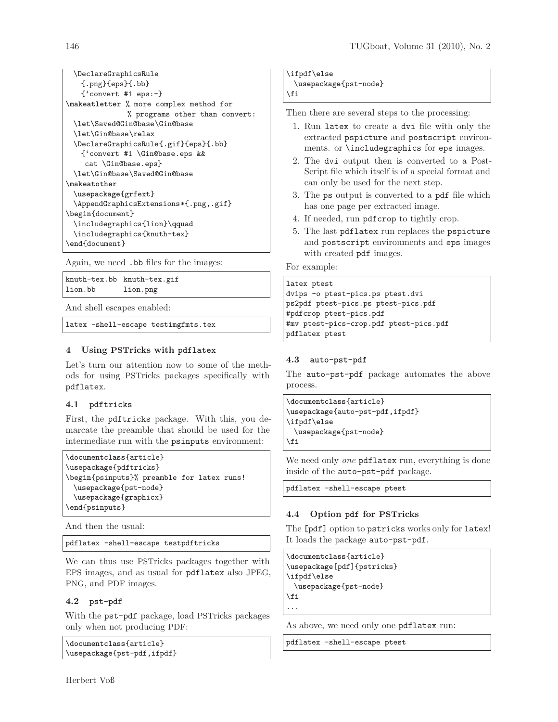```
\DeclareGraphicsRule
   {.png}{eps}{.bb}
   {'convert #1 eps:-}
\makeatletter % more complex method for
              % programs other than convert:
 \let\Saved@Gin@base\Gin@base
 \let\Gin@base\relax
 \DeclareGraphicsRule{.gif}{eps}{.bb}
   {'convert #1 \Gin@base.eps &&
    cat \Gin@base.eps}
 \let\Gin@base\Saved@Gin@base
\makeatother
 \usepackage{grfext}
 \AppendGraphicsExtensions*{.png,.gif}
\begin{document}
 \includegraphics{lion}\qquad
 \includegraphics{knuth-tex}
\end{document}
```
Again, we need .bb files for the images:

|         | knuth-tex.bb knuth-tex.gif |
|---------|----------------------------|
| lion.bb | lion.png                   |

And shell escapes enabled:

latex -shell-escape testimgfmts.tex

# **4 Using PSTricks with pdflatex**

Let's turn our attention now to some of the methods for using PSTricks packages specifically with pdflatex.

# **4.1 pdftricks**

First, the pdftricks package. With this, you demarcate the preamble that should be used for the intermediate run with the psinputs environment:

```
\documentclass{article}
\usepackage{pdftricks}
\begin{psinputs}% preamble for latex runs!
 \usepackage{pst-node}
 \usepackage{graphicx}
\end{psinputs}
```
And then the usual:

```
pdflatex -shell-escape testpdftricks
```
We can thus use PSTricks packages together with EPS images, and as usual for pdflatex also JPEG, PNG, and PDF images.

# **4.2 pst-pdf**

With the pst-pdf package, load PSTricks packages only when not producing PDF:

```
\documentclass{article}
\usepackage{pst-pdf,ifpdf}
```
Herbert Voß

\ifpdf\**else** \**usepackage**{pst-node} \**fi**

Then there are several steps to the processing:

- 1. Run latex to create a dvi file with only the extracted pspicture and postscript environments. or \includegraphics for eps images.
- 2. The dvi output then is converted to a Post-Script file which itself is of a special format and can only be used for the next step.
- 3. The ps output is converted to a pdf file which has one page per extracted image.
- 4. If needed, run pdfcrop to tightly crop.
- 5. The last pdflatex run replaces the pspicture and postscript environments and eps images with created pdf images.

For example:

## latex ptest

dvips -o ptest-pics.ps ptest.dvi ps2pdf ptest-pics.ps ptest-pics.pdf #pdfcrop ptest-pics.pdf #mv ptest-pics-crop.pdf ptest-pics.pdf pdflatex ptest

# **4.3 auto-pst-pdf**

The auto-pst-pdf package automates the above process.

```
\documentclass{article}
\usepackage{auto-pst-pdf,ifpdf}
\ifpdf\else
 \usepackage{pst-node}
```
\**fi**

We need only *one* pdflatex run, everything is done inside of the auto-pst-pdf package.

pdflatex -shell-escape ptest

# **4.4 Option pdf for PSTricks**

The [pdf] option to pstricks works only for latex! It loads the package auto-pst-pdf.

```
\documentclass{article}
\usepackage[pdf]{pstricks}
\ifpdf\else
 \usepackage{pst-node}
\fi
...
```
As above, we need only one pdflatex run:

pdflatex -shell-escape ptest